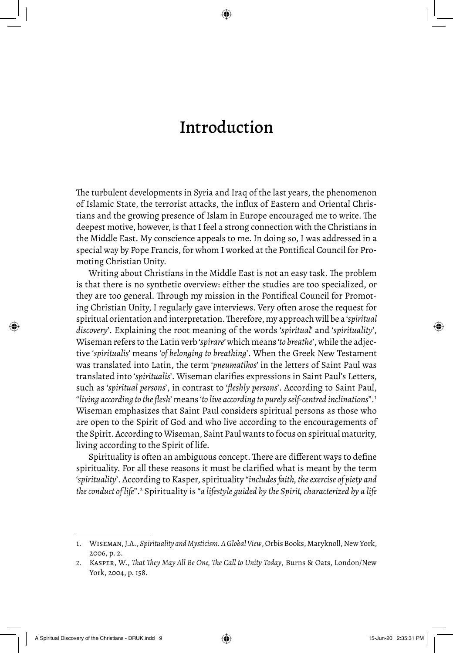## Introduction

The turbulent developments in Syria and Iraq of the last years, the phenomenon of Islamic State, the terrorist attacks, the influx of Eastern and Oriental Christians and the growing presence of Islam in Europe encouraged me to write. The deepest motive, however, is that I feel a strong connection with the Christians in the Middle East. My conscience appeals to me. In doing so, I was addressed in a special way by Pope Francis, for whom I worked at the Pontifical Council for Promoting Christian Unity.

Writing about Christians in the Middle East is not an easy task. The problem is that there is no synthetic overview: either the studies are too specialized, or they are too general. Through my mission in the Pontifical Council for Promoting Christian Unity, I regularly gave interviews. Very often arose the request for spiritual orientation and interpretation. Therefore, my approach will be a '*spiritual discovery*'. Explaining the root meaning of the words '*spiritual*' and '*spirituality*', Wiseman refers to the Latin verb '*spirare*' which means '*to breathe*', while the adjective '*spiritualis*' means '*of belonging to breathing*'. When the Greek New Testament was translated into Latin, the term '*pneumatikos*' in the letters of Saint Paul was translated into '*spiritualis*'. Wiseman clarifies expressions in Saint Paul's Letters, such as '*spiritual persons*', in contrast to '*fleshly persons*'. According to Saint Paul, "*living according to the flesh*' means '*to live according to purely self-centred inclinations*".<sup>1</sup> Wiseman emphasizes that Saint Paul considers spiritual persons as those who are open to the Spirit of God and who live according to the encouragements of the Spirit. According to Wiseman, Saint Paul wants to focus on spiritual maturity, living according to the Spirit of life.

Spirituality is often an ambiguous concept. There are different ways to define spirituality. For all these reasons it must be clarified what is meant by the term '*spirituality*'. According to Kasper, spirituality "*includes faith, the exercise of piety and*  the conduct of life".<sup>2</sup> Spirituality is "a lifestyle guided by the Spirit, characterized by a life

<sup>1.</sup> Wiseman, J.A., *Spirituality and Mysticism. A Global View*, Orbis Books, Maryknoll, New York, 2006, p. 2.

<sup>2.</sup> Kasper, W., *That They May All Be One, The Call to Unity Today*, Burns & Oats, London/New York, 2004, p. 158.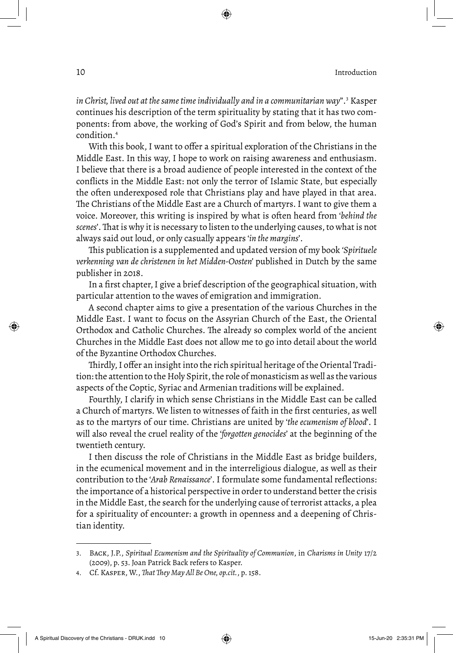in Christ, lived out at the same time individually and in a communitarian way".<sup>3</sup> Kasper continues his description of the term spirituality by stating that it has two components: from above, the working of God's Spirit and from below, the human condition.<sup>4</sup>

With this book, I want to offer a spiritual exploration of the Christians in the Middle East. In this way, I hope to work on raising awareness and enthusiasm. I believe that there is a broad audience of people interested in the context of the conflicts in the Middle East: not only the terror of Islamic State, but especially the often underexposed role that Christians play and have played in that area. The Christians of the Middle East are a Church of martyrs. I want to give them a voice. Moreover, this writing is inspired by what is often heard from '*behind the scenes*'. That is why it is necessary to listen to the underlying causes, to what is not always said out loud, or only casually appears '*in the margins*'.

This publication is a supplemented and updated version of my book *'Spirituele verkenning van de christenen in het Midden-Oosten'* published in Dutch by the same publisher in 2018.

In a first chapter, I give a brief description of the geographical situation, with particular attention to the waves of emigration and immigration.

A second chapter aims to give a presentation of the various Churches in the Middle East. I want to focus on the Assyrian Church of the East, the Oriental Orthodox and Catholic Churches. The already so complex world of the ancient Churches in the Middle East does not allow me to go into detail about the world of the Byzantine Orthodox Churches.

Thirdly, I offer an insight into the rich spiritual heritage of the Oriental Tradition: the attention to the Holy Spirit, the role of monasticism as well as the various aspects of the Coptic, Syriac and Armenian traditions will be explained.

Fourthly, I clarify in which sense Christians in the Middle East can be called a Church of martyrs. We listen to witnesses of faith in the first centuries, as well as to the martyrs of our time. Christians are united by '*the ecumenism of blood*'. I will also reveal the cruel reality of the '*forgotten genocides*' at the beginning of the twentieth century.

I then discuss the role of Christians in the Middle East as bridge builders, in the ecumenical movement and in the interreligious dialogue, as well as their contribution to the '*Arab Renaissance*'. I formulate some fundamental reflections: the importance of a historical perspective in order to understand better the crisis in the Middle East, the search for the underlying cause of terrorist attacks, a plea for a spirituality of encounter: a growth in openness and a deepening of Christian identity.

<sup>3.</sup> Back, J.P., *Spiritual Ecumenism and the Spirituality of Communion*, in *Charisms in Unity* 17/2 (2009), p. 53. Joan Patrick Back refers to Kasper.

<sup>4.</sup> Cf. Kasper, W., *That They May All Be One, op.cit.*, p. 158.